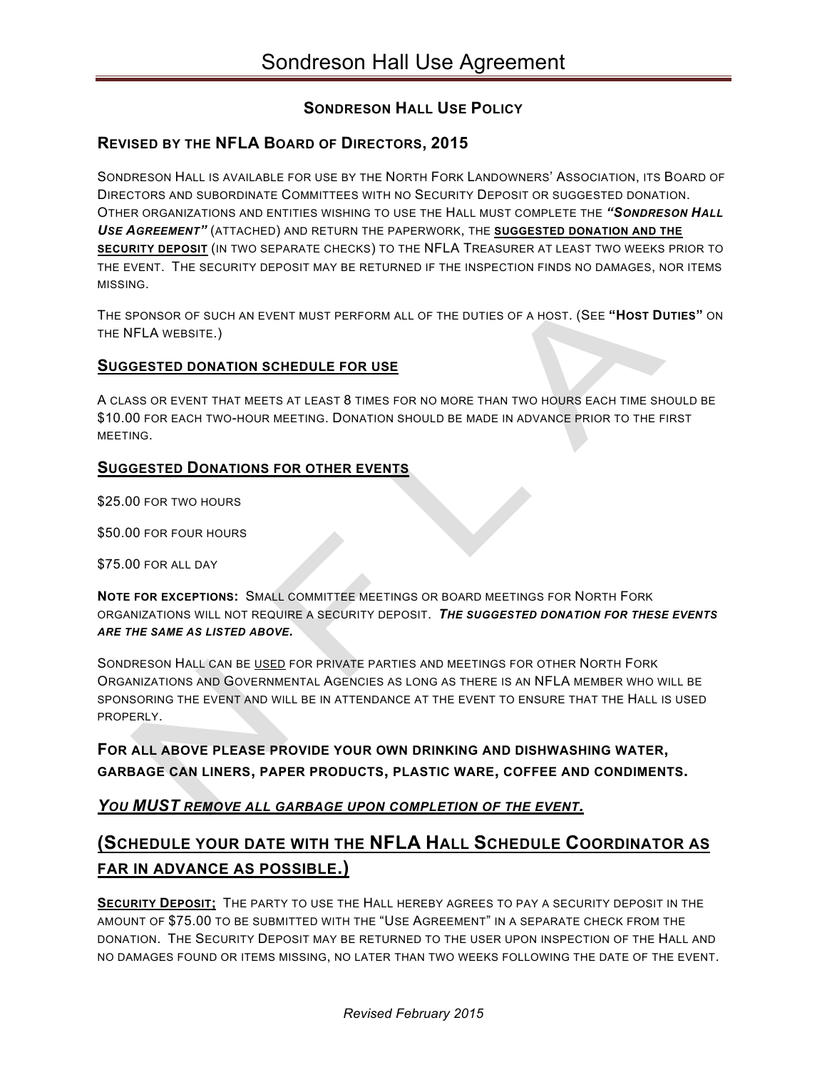## **SONDRESON HALL USE POLICY**

## **REVISED BY THE NFLA BOARD OF DIRECTORS, 2015**

SONDRESON HALL IS AVAILABLE FOR USE BY THE NORTH FORK LANDOWNERS' ASSOCIATION, ITS BOARD OF DIRECTORS AND SUBORDINATE COMMITTEES WITH NO SECURITY DEPOSIT OR SUGGESTED DONATION. OTHER ORGANIZATIONS AND ENTITIES WISHING TO USE THE HALL MUST COMPLETE THE *"SONDRESON HALL USE AGREEMENT"* (ATTACHED) AND RETURN THE PAPERWORK, THE **SUGGESTED DONATION AND THE SECURITY DEPOSIT** (IN TWO SEPARATE CHECKS) TO THE NFLA TREASURER AT LEAST TWO WEEKS PRIOR TO THE EVENT. THE SECURITY DEPOSIT MAY BE RETURNED IF THE INSPECTION FINDS NO DAMAGES, NOR ITEMS MISSING.

THE SPONSOR OF SUCH AN EVENT MUST PERFORM ALL OF THE DUTIES OF A HOST. (SEE **"HOST DUTIES"** ON THE NFLA WEBSITE.)

#### **SUGGESTED DONATION SCHEDULE FOR USE**

A CLASS OR EVENT THAT MEETS AT LEAST 8 TIMES FOR NO MORE THAN TWO HOURS EACH TIME SHOULD BE \$10.00 FOR EACH TWO-HOUR MEETING. DONATION SHOULD BE MADE IN ADVANCE PRIOR TO THE FIRST MEETING.

#### **SUGGESTED DONATIONS FOR OTHER EVENTS**

\$25.00 FOR TWO HOURS

\$50.00 FOR FOUR HOURS

\$75.00 FOR ALL DAY

**NOTE FOR EXCEPTIONS:** SMALL COMMITTEE MEETINGS OR BOARD MEETINGS FOR NORTH FORK ORGANIZATIONS WILL NOT REQUIRE A SECURITY DEPOSIT. *THE SUGGESTED DONATION FOR THESE EVENTS ARE THE SAME AS LISTED ABOVE.*

SONDRESON HALL CAN BE USED FOR PRIVATE PARTIES AND MEETINGS FOR OTHER NORTH FORK ORGANIZATIONS AND GOVERNMENTAL AGENCIES AS LONG AS THERE IS AN NFLA MEMBER WHO WILL BE SPONSORING THE EVENT AND WILL BE IN ATTENDANCE AT THE EVENT TO ENSURE THAT THE HALL IS USED PROPERLY.

**FOR ALL ABOVE PLEASE PROVIDE YOUR OWN DRINKING AND DISHWASHING WATER, GARBAGE CAN LINERS, PAPER PRODUCTS, PLASTIC WARE, COFFEE AND CONDIMENTS.**

### *YOU MUST REMOVE ALL GARBAGE UPON COMPLETION OF THE EVENT.*

# **(SCHEDULE YOUR DATE WITH THE NFLA HALL SCHEDULE COORDINATOR AS FAR IN ADVANCE AS POSSIBLE.)**

**SECURITY DEPOSIT;** THE PARTY TO USE THE HALL HEREBY AGREES TO PAY A SECURITY DEPOSIT IN THE AMOUNT OF \$75.00 TO BE SUBMITTED WITH THE "USE AGREEMENT" IN A SEPARATE CHECK FROM THE DONATION. THE SECURITY DEPOSIT MAY BE RETURNED TO THE USER UPON INSPECTION OF THE HALL AND NO DAMAGES FOUND OR ITEMS MISSING, NO LATER THAN TWO WEEKS FOLLOWING THE DATE OF THE EVENT.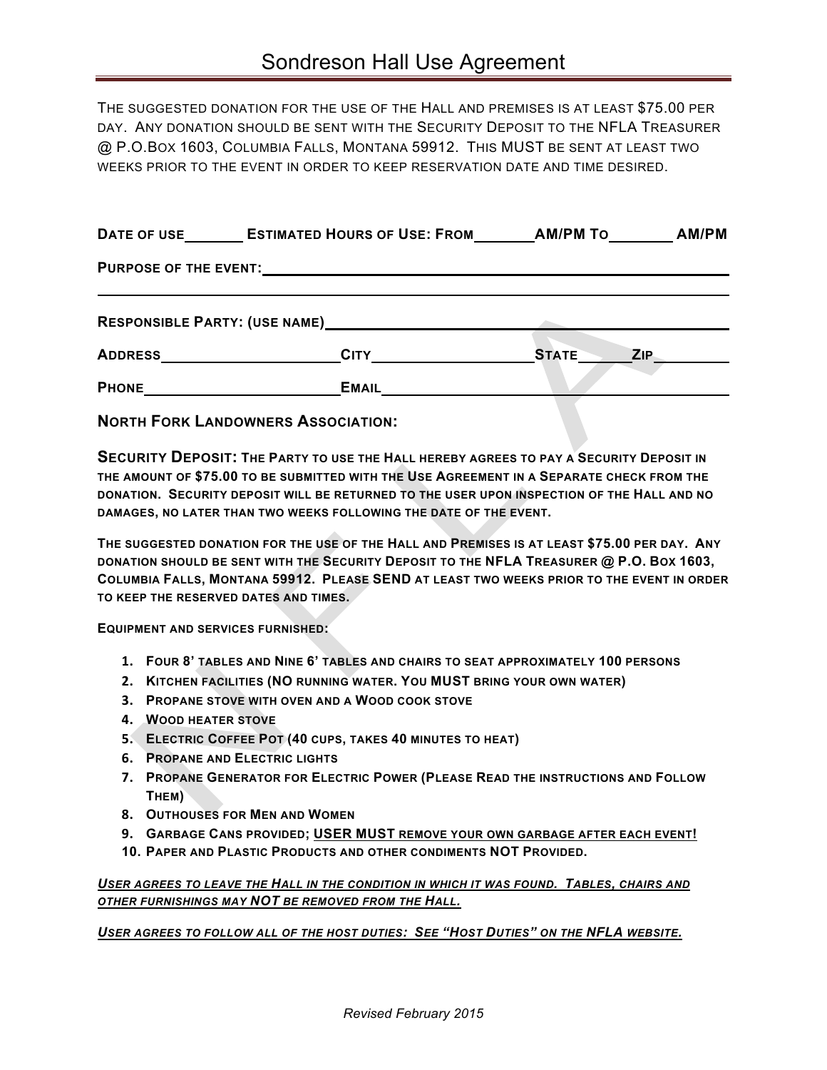THE SUGGESTED DONATION FOR THE USE OF THE HALL AND PREMISES IS AT LEAST \$75.00 PER DAY. ANY DONATION SHOULD BE SENT WITH THE SECURITY DEPOSIT TO THE NFLA TREASURER @ P.O.BOX 1603, COLUMBIA FALLS, MONTANA 59912. THIS MUST BE SENT AT LEAST TWO WEEKS PRIOR TO THE EVENT IN ORDER TO KEEP RESERVATION DATE AND TIME DESIRED.

| DATE OF USE                  | <b>ESTIMATED HOURS OF USE: FROM</b>  | <b>AM/PM TO</b> | <b>AM/PM</b> |  |
|------------------------------|--------------------------------------|-----------------|--------------|--|
| <b>PURPOSE OF THE EVENT:</b> |                                      |                 |              |  |
|                              | <b>RESPONSIBLE PARTY: (USE NAME)</b> |                 |              |  |
| <b>ADDRESS</b>               | <b>CITY</b>                          | <b>STATE</b>    | <b>ZIP</b>   |  |
| <b>PHONE</b>                 | <b>EMAIL</b>                         |                 |              |  |

**NORTH FORK LANDOWNERS ASSOCIATION:**

**SECURITY DEPOSIT: THE PARTY TO USE THE HALL HEREBY AGREES TO PAY A SECURITY DEPOSIT IN THE AMOUNT OF \$75.00 TO BE SUBMITTED WITH THE USE AGREEMENT IN A SEPARATE CHECK FROM THE DONATION. SECURITY DEPOSIT WILL BE RETURNED TO THE USER UPON INSPECTION OF THE HALL AND NO DAMAGES, NO LATER THAN TWO WEEKS FOLLOWING THE DATE OF THE EVENT.**

**THE SUGGESTED DONATION FOR THE USE OF THE HALL AND PREMISES IS AT LEAST \$75.00 PER DAY. ANY DONATION SHOULD BE SENT WITH THE SECURITY DEPOSIT TO THE NFLA TREASURER @ P.O. BOX 1603, COLUMBIA FALLS, MONTANA 59912. PLEASE SEND AT LEAST TWO WEEKS PRIOR TO THE EVENT IN ORDER TO KEEP THE RESERVED DATES AND TIMES.**

**EQUIPMENT AND SERVICES FURNISHED:**

- **1. FOUR 8' TABLES AND NINE 6' TABLES AND CHAIRS TO SEAT APPROXIMATELY 100 PERSONS**
- **2. KITCHEN FACILITIES (NO RUNNING WATER. YOU MUST BRING YOUR OWN WATER)**
- **3. PROPANE STOVE WITH OVEN AND A WOOD COOK STOVE**
- **4. WOOD HEATER STOVE**
- **5. ELECTRIC COFFEE POT (40 CUPS, TAKES 40 MINUTES TO HEAT)**
- **6. PROPANE AND ELECTRIC LIGHTS**
- **7. PROPANE GENERATOR FOR ELECTRIC POWER (PLEASE READ THE INSTRUCTIONS AND FOLLOW THEM)**
- **8. OUTHOUSES FOR MEN AND WOMEN**
- **9. GARBAGE CANS PROVIDED; USER MUST REMOVE YOUR OWN GARBAGE AFTER EACH EVENT!**
- **10. PAPER AND PLASTIC PRODUCTS AND OTHER CONDIMENTS NOT PROVIDED.**

*USER AGREES TO LEAVE THE HALL IN THE CONDITION IN WHICH IT WAS FOUND. TABLES, CHAIRS AND OTHER FURNISHINGS MAY NOT BE REMOVED FROM THE HALL.* 

*USER AGREES TO FOLLOW ALL OF THE HOST DUTIES: SEE "HOST DUTIES" ON THE NFLA WEBSITE.*